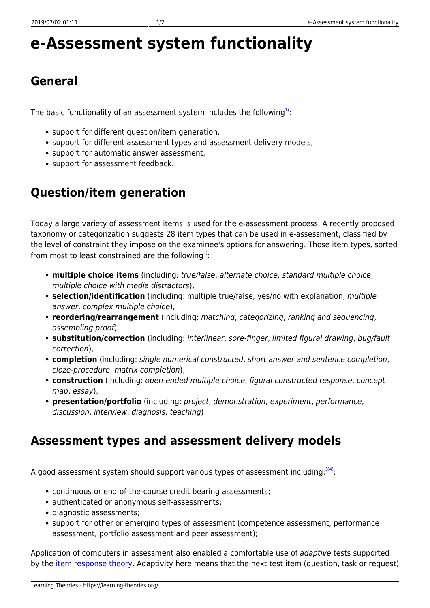# **e-Assessment system functionality**

### **General**

The basic functionality of an assessment system includes the following<sup>[1\)](#page--1-0)</sup>:

- support for different question/item generation,
- support for different assessment types and assessment delivery models,
- support for automatic answer assessment,
- support for assessment feedback.

## **Question/item generation**

Today a large variety of assessment items is used for the e-assessment process. A recently proposed taxonomy or categorization suggests 28 item types that can be used in e-assessment, classified by the level of constraint they impose on the examinee's options for answering. Those item types, sorted from most to least constrained are the following<sup>[2\)](#page--1-0)</sup>:

- **multiple choice items** (including: true/false, alternate choice, standard multiple choice, multiple choice with media distractors),
- **selection/identification** (including: multiple true/false, yes/no with explanation, multiple answer, complex multiple choice),
- **reordering/rearrangement** (including: matching, categorizing, ranking and sequencing, assembling proof),
- **substitution/correction** (including: interlinear, sore-finger, limited figural drawing, bug/fault correction),
- **completion** (including: single numerical constructed, short answer and sentence completion, cloze-procedure, matrix completion),
- **construction** (including: open-ended multiple choice, figural constructed response, concept map, essay),
- **presentation/portfolio** (including: project, demonstration, experiment, performance, discussion, interview, diagnosis, teaching)

#### **Assessment types and assessment delivery models**

A good assessment system should support various types of assessment including: $3/4$ :

- continuous or end-of-the-course credit bearing assessments;
- authenticated or anonymous self-assessments;
- diagnostic assessments;

Learning Theories - https://learning-theories.org/

• support for other or emerging types of assessment (competence assessment, performance assessment, portfolio assessment and peer assessment);

Application of computers in assessment also enabled a comfortable use of *adaptive* tests supported by the [item response theory](https://learning-theories.org/doku.php?id=knowledge_assessment:item_response_theory). Adaptivity here means that the next test item (question, task or request)